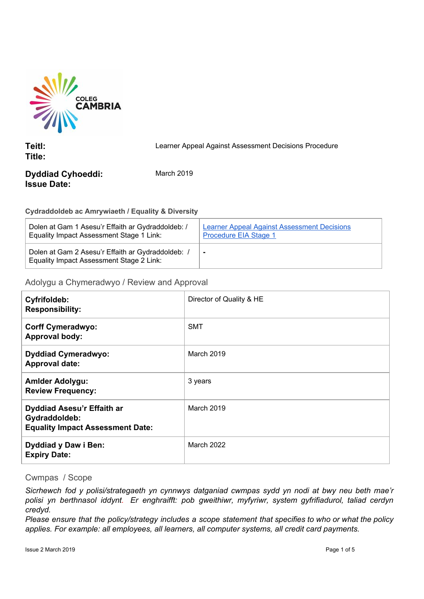

**Teitl: Title:** Learner Appeal Against Assessment Decisions Procedure

# **Dyddiad Cyhoeddi: Issue Date:**

March 2019

## **Cydraddoldeb ac Amrywiaeth / Equality & Diversity**

| Dolen at Gam 1 Asesu'r Effaith ar Gydraddoldeb: /                                             | <b>Learner Appeal Against Assessment Decisions</b> |
|-----------------------------------------------------------------------------------------------|----------------------------------------------------|
| Equality Impact Assessment Stage 1 Link:                                                      | <b>Procedure EIA Stage 1</b>                       |
| Dolen at Gam 2 Asesu'r Effaith ar Gydraddoldeb: /<br>Equality Impact Assessment Stage 2 Link: | $\blacksquare$                                     |

## Adolygu a Chymeradwyo / Review and Approval

| Cyfrifoldeb:<br><b>Responsibility:</b>                                                 | Director of Quality & HE |
|----------------------------------------------------------------------------------------|--------------------------|
| <b>Corff Cymeradwyo:</b><br><b>Approval body:</b>                                      | <b>SMT</b>               |
| <b>Dyddiad Cymeradwyo:</b><br><b>Approval date:</b>                                    | March 2019               |
| <b>Amlder Adolygu:</b><br><b>Review Frequency:</b>                                     | 3 years                  |
| Dyddiad Asesu'r Effaith ar<br>Gydraddoldeb:<br><b>Equality Impact Assessment Date:</b> | March 2019               |
| <b>Dyddiad y Daw i Ben:</b><br><b>Expiry Date:</b>                                     | <b>March 2022</b>        |

## Cwmpas / Scope

*Sicrhewch fod y polisi/strategaeth yn cynnwys datganiad cwmpas sydd yn nodi at bwy neu beth mae'r polisi yn berthnasol iddynt. Er enghraifft: pob gweithiwr, myfyriwr, system gyfrifiadurol, taliad cerdyn credyd.*

Please ensure that the policy/strategy includes a scope statement that specifies to who or what the policy *applies. For example: all employees, all learners, all computer systems, all credit card payments.*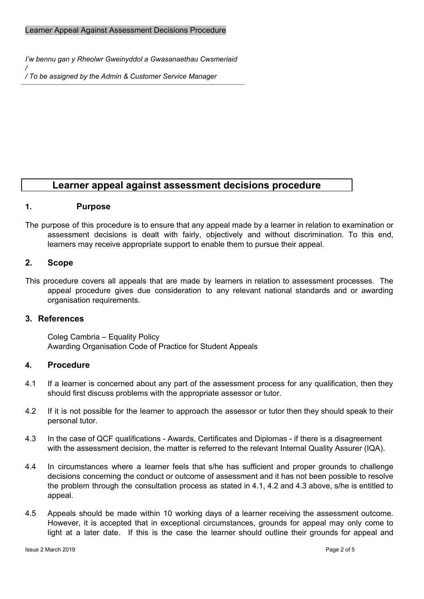- *I'w bennu gan y Rheolwr Gweinyddol a Gwasanaethau Cwsmeriaid*
- */ / To be assigned by the Admin & Customer Service Manager*

# **Learner appeal against assessment decisions procedure**

#### **1. Purpose**

The purpose of this procedure is to ensure that any appeal made by a learner in relation to examination or assessment decisions is dealt with fairly, objectively and without discrimination. To this end, learners may receive appropriate support to enable them to pursue their appeal.

#### **2. Scope**

This procedure covers all appeals that are made by learners in relation to assessment processes. The appeal procedure gives due consideration to any relevant national standards and or awarding organisation requirements.

## **3. References**

Coleg Cambria – Equality Policy Awarding Organisation Code of Practice for Student Appeals

#### **4. Procedure**

- 4.1 If a learner is concerned about any part of the assessment process for any qualification, then they should first discuss problems with the appropriate assessor or tutor.
- 4.2 If it is not possible for the learner to approach the assessor or tutor then they should speak to their personal tutor.
- 4.3 In the case of QCF qualifications Awards, Certificates and Diplomas if there is a disagreement with the assessment decision, the matter is referred to the relevant Internal Quality Assurer (IQA).
- 4.4 In circumstances where a learner feels that s/he has sufficient and proper grounds to challenge decisions concerning the conduct or outcome of assessment and it has not been possible to resolve the problem through the consultation process as stated in 4.1, 4.2 and 4.3 above, s/he is entitled to appeal.
- 4.5 Appeals should be made within 10 working days of a learner receiving the assessment outcome. However, it is accepted that in exceptional circumstances, grounds for appeal may only come to light at a later date. If this is the case the learner should outline their grounds for appeal and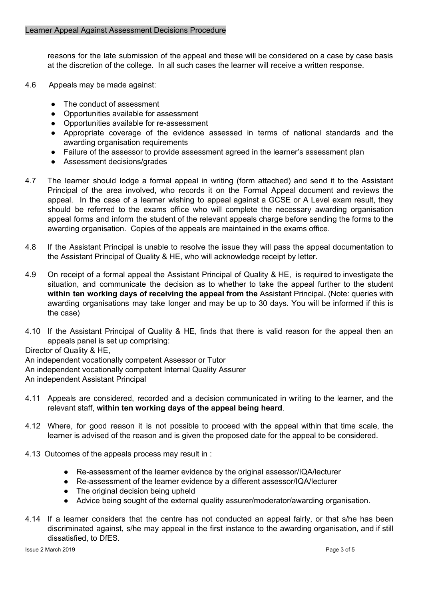reasons for the late submission of the appeal and these will be considered on a case by case basis at the discretion of the college. In all such cases the learner will receive a written response.

- 4.6 Appeals may be made against:
	- The conduct of assessment
	- Opportunities available for assessment
	- Opportunities available for re-assessment
	- Appropriate coverage of the evidence assessed in terms of national standards and the awarding organisation requirements
	- Failure of the assessor to provide assessment agreed in the learner's assessment plan
	- Assessment decisions/grades
- 4.7 The learner should lodge a formal appeal in writing (form attached) and send it to the Assistant Principal of the area involved, who records it on the Formal Appeal document and reviews the appeal. In the case of a learner wishing to appeal against a GCSE or A Level exam result, they should be referred to the exams office who will complete the necessary awarding organisation appeal forms and inform the student of the relevant appeals charge before sending the forms to the awarding organisation. Copies of the appeals are maintained in the exams office.
- 4.8 If the Assistant Principal is unable to resolve the issue they will pass the appeal documentation to the Assistant Principal of Quality & HE, who will acknowledge receipt by letter.
- 4.9 On receipt of a formal appeal the Assistant Principal of Quality & HE, is required to investigate the situation, and communicate the decision as to whether to take the appeal further to the student **within ten working days of receiving the appeal from the** Assistant Principal**.** (Note: queries with awarding organisations may take longer and may be up to 30 days. You will be informed if this is the case)
- 4.10 If the Assistant Principal of Quality & HE, finds that there is valid reason for the appeal then an appeals panel is set up comprising:

Director of Quality & HE,

An independent vocationally competent Assessor or Tutor

An independent vocationally competent Internal Quality Assurer

An independent Assistant Principal

- 4.11 Appeals are considered, recorded and a decision communicated in writing to the learner**,** and the relevant staff, **within ten working days of the appeal being heard**.
- 4.12 Where, for good reason it is not possible to proceed with the appeal within that time scale, the learner is advised of the reason and is given the proposed date for the appeal to be considered.
- 4.13 Outcomes of the appeals process may result in :
	- Re-assessment of the learner evidence by the original assessor/IQA/lecturer
	- Re-assessment of the learner evidence by a different assessor/IQA/lecturer
	- The original decision being upheld
	- Advice being sought of the external quality assurer/moderator/awarding organisation.
- 4.14 If a learner considers that the centre has not conducted an appeal fairly, or that s/he has been discriminated against, s/he may appeal in the first instance to the awarding organisation, and if still dissatisfied, to DfES.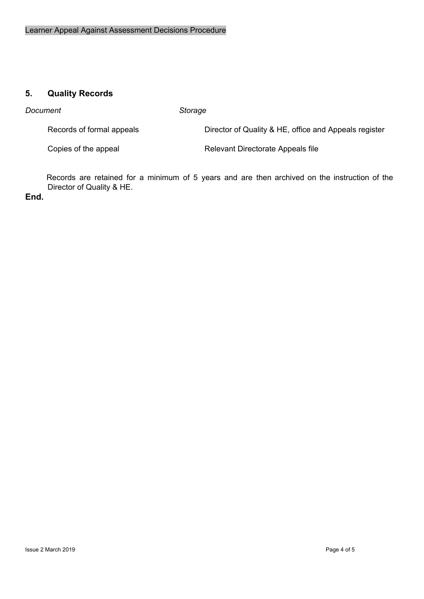# **5. Quality Records**

*Document Storage*

Records of formal appeals **Director of Quality & HE, office and Appeals register** 

Copies of the appeal **Relevant Directorate Appeals file** 

Records are retained for a minimum of 5 years and are then archived on the instruction of the Director of Quality & HE.

**End.**